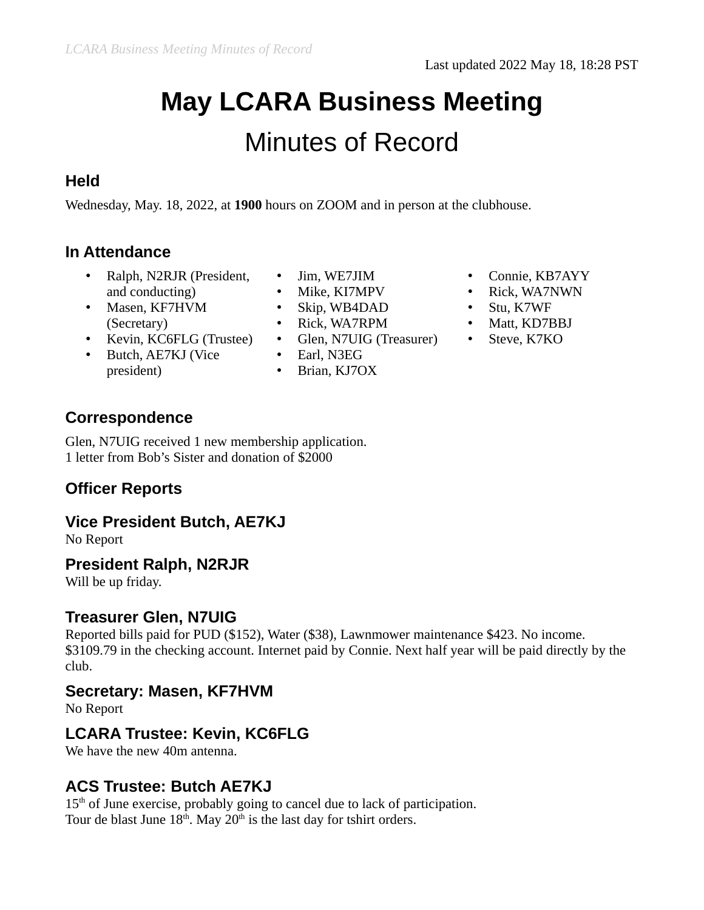# **May LCARA Business Meeting** Minutes of Record

#### **Held**

Wednesday, May. 18, 2022, at **1900** hours on ZOOM and in person at the clubhouse.

### **In Attendance**

- Ralph, N2RJR (President, and conducting)
- Masen, KF7HVM (Secretary)
- Kevin, KC6FLG (Trustee)
- Butch, AE7KJ (Vice
	- president)
- Jim, WE7JIM
- Mike, KI7MPV
- Skip, WB4DAD
- Rick, WA7RPM
- Glen, N7UIG (Treasurer) Steve, K7KO
- Earl, N3EG
- Brian, KJ7OX
- Connie, KB7AYY
- Rick, WA7NWN
- Stu, K7WF
- Matt, KD7BBJ
	-

### **Correspondence**

Glen, N7UIG received 1 new membership application. 1 letter from Bob's Sister and donation of \$2000

# **Officer Reports**

#### **Vice President Butch, AE7KJ**

No Report

#### **President Ralph, N2RJR**

Will be up friday.

#### **Treasurer Glen, N7UIG**

Reported bills paid for PUD (\$152), Water (\$38), Lawnmower maintenance \$423. No income. \$3109.79 in the checking account. Internet paid by Connie. Next half year will be paid directly by the club.

#### **Secretary: Masen, KF7HVM**

No Report

#### **LCARA Trustee: Kevin, KC6FLG**

We have the new 40m antenna.

#### **ACS Trustee: Butch AE7KJ**

 $15<sup>th</sup>$  of June exercise, probably going to cancel due to lack of participation. Tour de blast June  $18<sup>th</sup>$ . May  $20<sup>th</sup>$  is the last day for tshirt orders.